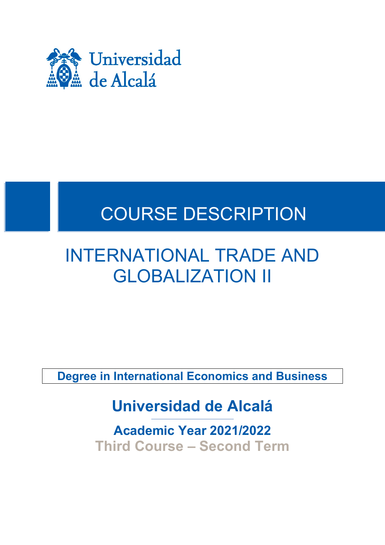

# COURSE DESCRIPTION

## INTERNATIONAL TRADE AND GLOBALIZATION II

**Degree in International Economics and Business**

## **Universidad de Alcalá**

**Academic Year 2021/2022 Third Course – Second Term**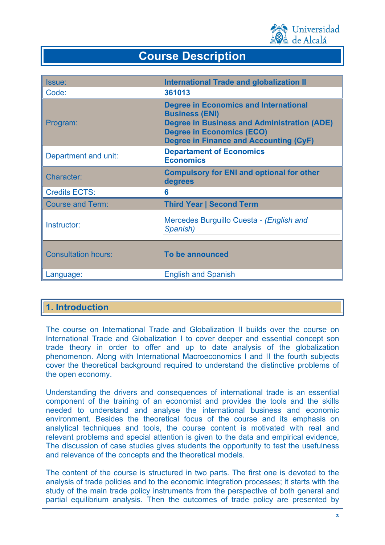

### **Course Description**

| <b>Issue:</b>              | <b>International Trade and globalization II</b>                                                                                                                                                           |
|----------------------------|-----------------------------------------------------------------------------------------------------------------------------------------------------------------------------------------------------------|
| Code:                      | 361013                                                                                                                                                                                                    |
| Program:                   | <b>Degree in Economics and International</b><br><b>Business (ENI)</b><br>Degree in Business and Administration (ADE)<br><b>Degree in Economics (ECO)</b><br><b>Degree in Finance and Accounting (CyF)</b> |
| Department and unit:       | <b>Departament of Economics</b><br><b>Economics</b>                                                                                                                                                       |
| <b>Character:</b>          | <b>Compulsory for ENI and optional for other</b><br>degrees                                                                                                                                               |
| <b>Credits ECTS:</b>       | 6                                                                                                                                                                                                         |
| <b>Course and Term:</b>    | <b>Third Year   Second Term</b>                                                                                                                                                                           |
| Instructor:                | Mercedes Burguillo Cuesta - (English and<br>Spanish)                                                                                                                                                      |
| <b>Consultation hours:</b> | To be announced                                                                                                                                                                                           |
| Language:                  | <b>English and Spanish</b>                                                                                                                                                                                |

#### **1. Introduction**

The course on International Trade and Globalization II builds over the course on International Trade and Globalization I to cover deeper and essential concept son trade theory in order to offer and up to date analysis of the globalization phenomenon. Along with International Macroeconomics I and II the fourth subjects cover the theoretical background required to understand the distinctive problems of the open economy.

Understanding the drivers and consequences of international trade is an essential component of the training of an economist and provides the tools and the skills needed to understand and analyse the international business and economic environment. Besides the theoretical focus of the course and its emphasis on analytical techniques and tools, the course content is motivated with real and relevant problems and special attention is given to the data and empirical evidence, The discussion of case studies gives students the opportunity to test the usefulness and relevance of the concepts and the theoretical models.

The content of the course is structured in two parts. The first one is devoted to the analysis of trade policies and to the economic integration processes; it starts with the study of the main trade policy instruments from the perspective of both general and partial equilibrium analysis. Then the outcomes of trade policy are presented by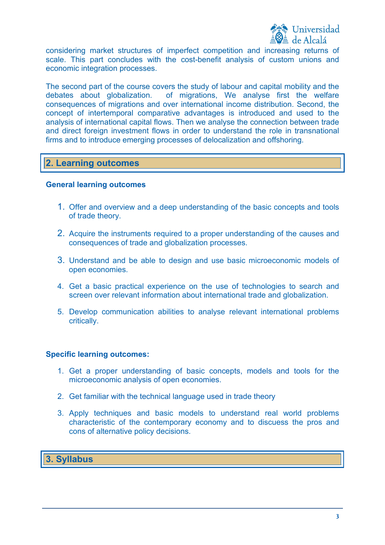

considering market structures of imperfect competition and increasing returns of scale. This part concludes with the cost-benefit analysis of custom unions and economic integration processes.

The second part of the course covers the study of labour and capital mobility and the debates about globalization. of migrations, We analyse first the welfare consequences of migrations and over international income distribution. Second, the concept of intertemporal comparative advantages is introduced and used to the analysis of international capital flows. Then we analyse the connection between trade and direct foreign investment flows in order to understand the role in transnational firms and to introduce emerging processes of delocalization and offshoring.

#### **2. Learning outcomes**

#### **General learning outcomes**

- 1. Offer and overview and a deep understanding of the basic concepts and tools of trade theory.
- 2. Acquire the instruments required to a proper understanding of the causes and consequences of trade and globalization processes.
- 3. Understand and be able to design and use basic microeconomic models of open economies.
- 4. Get a basic practical experience on the use of technologies to search and screen over relevant information about international trade and globalization.
- 5. Develop communication abilities to analyse relevant international problems critically.

#### **Specific learning outcomes:**

- 1. Get a proper understanding of basic concepts, models and tools for the microeconomic analysis of open economies.
- 2. Get familiar with the technical language used in trade theory
- 3. Apply techniques and basic models to understand real world problems characteristic of the contemporary economy and to discuess the pros and cons of alternative policy decisions.

#### **3. Syllabus**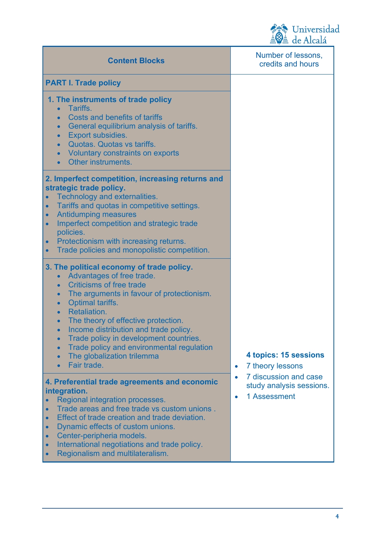

| <b>Content Blocks</b>                                                                                                                                                                                                                                                                                                                                                                                                                                 | $\mathbf{m}$ $\mathbf{w}$ $\mathbf{r}$<br>Number of lessons,<br>credits and hours |
|-------------------------------------------------------------------------------------------------------------------------------------------------------------------------------------------------------------------------------------------------------------------------------------------------------------------------------------------------------------------------------------------------------------------------------------------------------|-----------------------------------------------------------------------------------|
| <b>PART I. Trade policy</b>                                                                                                                                                                                                                                                                                                                                                                                                                           |                                                                                   |
| 1. The instruments of trade policy<br>Tariffs.<br><b>Costs and benefits of tariffs</b><br>General equilibrium analysis of tariffs.<br>Export subsidies.<br>$\bullet$<br>Quotas. Quotas vs tariffs.<br>$\bullet$<br>Voluntary constraints on exports<br>$\bullet$<br>Other instruments.<br>$\bullet$                                                                                                                                                   |                                                                                   |
| 2. Imperfect competition, increasing returns and<br>strategic trade policy.<br>Technology and externalities.<br>Tariffs and quotas in competitive settings.<br>$\bullet$<br><b>Antidumping measures</b><br>Imperfect competition and strategic trade<br>$\bullet$<br>policies.<br>Protectionism with increasing returns.<br>$\bullet$<br>Trade policies and monopolistic competition.                                                                 |                                                                                   |
| 3. The political economy of trade policy.<br>Advantages of free trade.<br>$\bullet$<br><b>Criticisms of free trade</b><br>The arguments in favour of protectionism.<br>Optimal tariffs.<br>Retaliation.<br>The theory of effective protection.<br>$\bullet$<br>Income distribution and trade policy.<br>$\bullet$<br>Trade policy in development countries.<br>Trade policy and environmental regulation<br>The globalization trilemma<br>Fair trade. | 4 topics: 15 sessions<br>7 theory lessons<br>$\bullet$                            |
| 4. Preferential trade agreements and economic<br>integration.<br>Regional integration processes.<br>Trade areas and free trade vs custom unions.<br>Effect of trade creation and trade deviation.<br>Dynamic effects of custom unions.<br>Center-peripheria models.<br>International negotiations and trade policy.<br>Regionalism and multilateralism.                                                                                               | 7 discussion and case<br>study analysis sessions.<br>1 Assessment<br>$\bullet$    |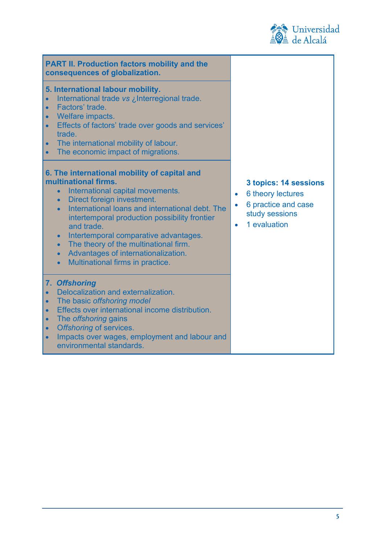

| <b>PART II. Production factors mobility and the</b><br>consequences of globalization.                                                                                                                                                                                                                                                                                                                                                                                                               |                                                                                                                                            |
|-----------------------------------------------------------------------------------------------------------------------------------------------------------------------------------------------------------------------------------------------------------------------------------------------------------------------------------------------------------------------------------------------------------------------------------------------------------------------------------------------------|--------------------------------------------------------------------------------------------------------------------------------------------|
| 5. International labour mobility.<br>International trade vs ¿Interregional trade.<br>Factors' trade.<br>$\bullet$<br>Welfare impacts.<br>$\bullet$<br>Effects of factors' trade over goods and services'<br>$\bullet$<br>trade.<br>The international mobility of labour.<br>$\bullet$<br>The economic impact of migrations.<br>$\bullet$                                                                                                                                                            |                                                                                                                                            |
| 6. The international mobility of capital and<br>multinational firms.<br>International capital movements.<br>$\bullet$<br>Direct foreign investment.<br>$\bullet$<br>International loans and international debt. The<br>intertemporal production possibility frontier<br>and trade.<br>Intertemporal comparative advantages.<br>$\bullet$<br>The theory of the multinational firm.<br>$\bullet$<br>Advantages of internationalization.<br>$\bullet$<br>Multinational firms in practice.<br>$\bullet$ | 3 topics: 14 sessions<br>6 theory lectures<br>$\bullet$<br>6 practice and case<br>$\bullet$<br>study sessions<br>1 evaluation<br>$\bullet$ |
| 7. Offshoring<br>Delocalization and externalization.<br>The basic offshoring model<br>$\bullet$<br>Effects over international income distribution.<br>$\bullet$<br>The <i>offshoring</i> gains<br>$\bullet$<br>Offshoring of services.<br>$\bullet$<br>Impacts over wages, employment and labour and<br>$\bullet$<br>environmental standards.                                                                                                                                                       |                                                                                                                                            |

**5**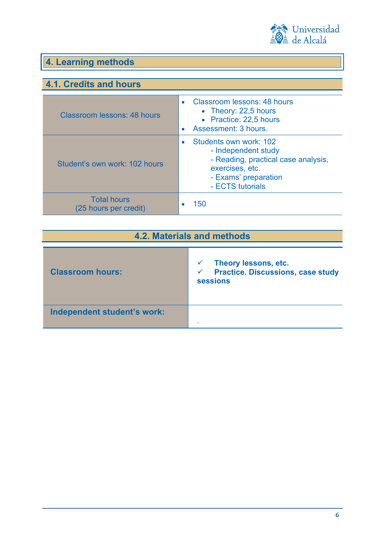

## **4. Learning methods**

### **4.1. Credits and hours**

| Classroom lessons: 48 hours                 | Classroom lessons: 48 hours<br>• Theory: 22,5 hours<br>• Practice: 22,5 hours<br>Assessment: 3 hours.                                               |
|---------------------------------------------|-----------------------------------------------------------------------------------------------------------------------------------------------------|
| Student's own work: 102 hours               | Students own work: 102<br>- Independent study<br>- Reading, practical case analysis,<br>exercises, etc.<br>- Exams' preparation<br>- ECTS tutorials |
| <b>Total hours</b><br>(25 hours per credit) | 150                                                                                                                                                 |

| <b>4.2. Materials and methods</b> |                                                                                                     |
|-----------------------------------|-----------------------------------------------------------------------------------------------------|
| <b>Classroom hours:</b>           | Theory lessons, etc.<br><b>Practice. Discussions, case study</b><br>$\checkmark$<br><b>sessions</b> |
| Independent student's work:       |                                                                                                     |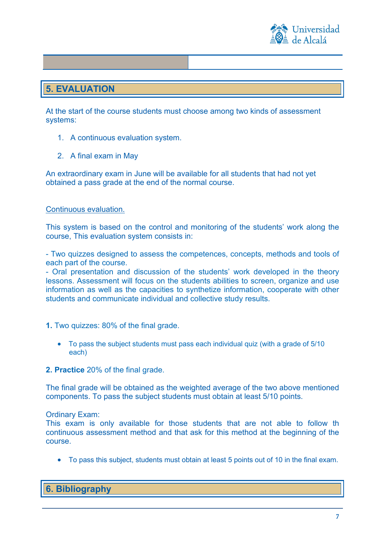

#### **5. EVALUATION**

At the start of the course students must choose among two kinds of assessment systems:

- 1. A continuous evaluation system.
- 2. A final exam in May

An extraordinary exam in June will be available for all students that had not yet obtained a pass grade at the end of the normal course.

#### Continuous evaluation.

This system is based on the control and monitoring of the students' work along the course, This evaluation system consists in:

- Two quizzes designed to assess the competences, concepts, methods and tools of each part of the course.

- Oral presentation and discussion of the students' work developed in the theory lessons. Assessment will focus on the students abilities to screen, organize and use information as well as the capacities to synthetize information, cooperate with other students and communicate individual and collective study results.

- **1.** Two quizzes: 80% of the final grade.
	- To pass the subject students must pass each individual quiz (with a grade of 5/10 each)
- **2. Practice** 20% of the final grade.

The final grade will be obtained as the weighted average of the two above mentioned components. To pass the subject students must obtain at least 5/10 points.

Ordinary Exam:

This exam is only available for those students that are not able to follow th continuous assessment method and that ask for this method at the beginning of the course.

• To pass this subject, students must obtain at least 5 points out of 10 in the final exam.

**6. Bibliography**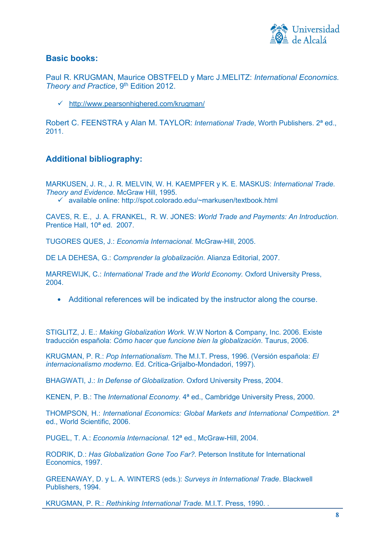

#### **Basic books:**

Paul R. KRUGMAN, Maurice OBSTFELD y Marc J.MELITZ: *International Economics.*  **Theory and Practice**, 9<sup>th</sup> Edition 2012.

<http://www.pearsonhighered.com/krugman/>

Robert C. FEENSTRA y Alan M. TAYLOR: *International Trade*, Worth Publishers. 2ª ed., 2011.

#### **Additional bibliography:**

MARKUSEN, J. R., J. R. MELVIN, W. H. KAEMPFER y K. E. MASKUS: *International Trade. Theory and Evidence*. McGraw Hill, 1995. available online: http://spot.colorado.edu/~markusen/textbook.html

CAVES, R. E., J. A. FRANKEL, R. W. JONES: *World Trade and Payments: An Introduction*. Prentice Hall, 10ª ed. 2007.

TUGORES QUES, J.: *Economía Internacional.* McGraw-Hill, 2005.

DE LA DEHESA, G.: *Comprender la globalización*. Alianza Editorial, 2007.

MARREWIJK, C.: *International Trade and the World Economy.* Oxford University Press, 2004.

• Additional references will be indicated by the instructor along the course.

STIGLITZ, J. E.: *Making Globalization Work*. W.W Norton & Company, Inc. 2006. Existe traducción española: *Cómo hacer que funcione bien la globalización*. Taurus, 2006.

KRUGMAN, P. R.: *Pop Internationalism*. The M.I.T. Press, 1996. (Versión española: *El internacionalismo moderno*. Ed. Crítica-Grijalbo-Mondadori, 1997).

BHAGWATI, J.: *In Defense of Globalization*. Oxford University Press, 2004.

KENEN, P. B.: The *International Economy.* 4ª ed., Cambridge University Press, 2000.

THOMPSON, H.: *International Economics: Global Markets and International Competition.* 2ª ed., World Scientific, 2006.

PUGEL, T. A.: *Economía Internacional*. 12ª ed., McGraw-Hill, 2004.

RODRIK, D.: *Has Globalization Gone Too Far?.* Peterson Institute for International Economics, 1997.

GREENAWAY, D. y L. A. WINTERS (eds.): *Surveys in International Trade*. Blackwell Publishers, 1994.

KRUGMAN, P. R.: *Rethinking International Trade.* M.I.T. Press, 1990. .